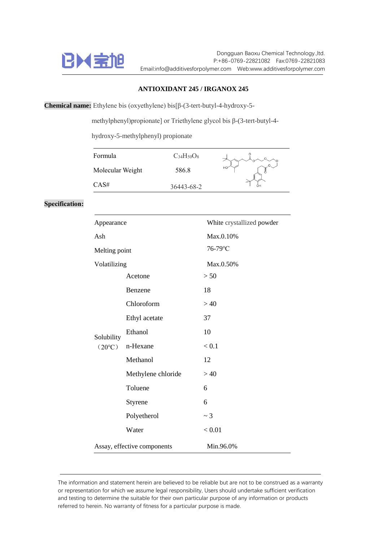

Dongguan Baoxu Chemical Technology.,ltd. P:+86-0769-22821082 Fax:0769-22821083 Email:info@additivesforpolymer.com Web:www.additivesforpolymer.com

## **ANTIOXIDANT 245 / IRGANOX 245**

**Chemical name:** Ethylene bis (oxyethylene) bis[β-(3-tert-butyl-4-hydroxy-5-

methylphenyl)propionate] or Triethylene glycol bis β-(3-tert-butyl-4-

hydroxy-5-methylphenyl) propionate

| Formula          | $C_{34}H_{50}O_8$ |    |
|------------------|-------------------|----|
| Molecular Weight | 586.8             | HO |
| CAS#             | 36443-68-2        |    |

## **Specification:**

| Appearance                    |                    | White crystallized powder |
|-------------------------------|--------------------|---------------------------|
| Ash                           |                    | Max.0.10%                 |
| Melting point                 |                    | 76-79°C                   |
| Volatilizing                  |                    | Max.0.50%                 |
| Solubility<br>$(20^{\circ}C)$ | Acetone            | > 50                      |
|                               | Benzene            | 18                        |
|                               | Chloroform         | >40                       |
|                               | Ethyl acetate      | 37                        |
|                               | Ethanol            | 10                        |
|                               | n-Hexane           | < 0.1                     |
|                               | Methanol           | 12                        |
|                               | Methylene chloride | >40                       |
|                               | Toluene            | 6                         |
|                               | Styrene            | 6                         |
|                               | Polyetherol        | $\sim$ 3                  |
|                               | Water              | < 0.01                    |
| Assay, effective components   |                    | Min.96.0%                 |

The information and statement herein are believed to be reliable but are not to be construed as a warranty or representation for which we assume legal responsibility, Users should undertake sufficient verification and testing to determine the suitable for their own particular purpose of any information or products referred to herein. No warranty of fitness for a particular purpose is made.